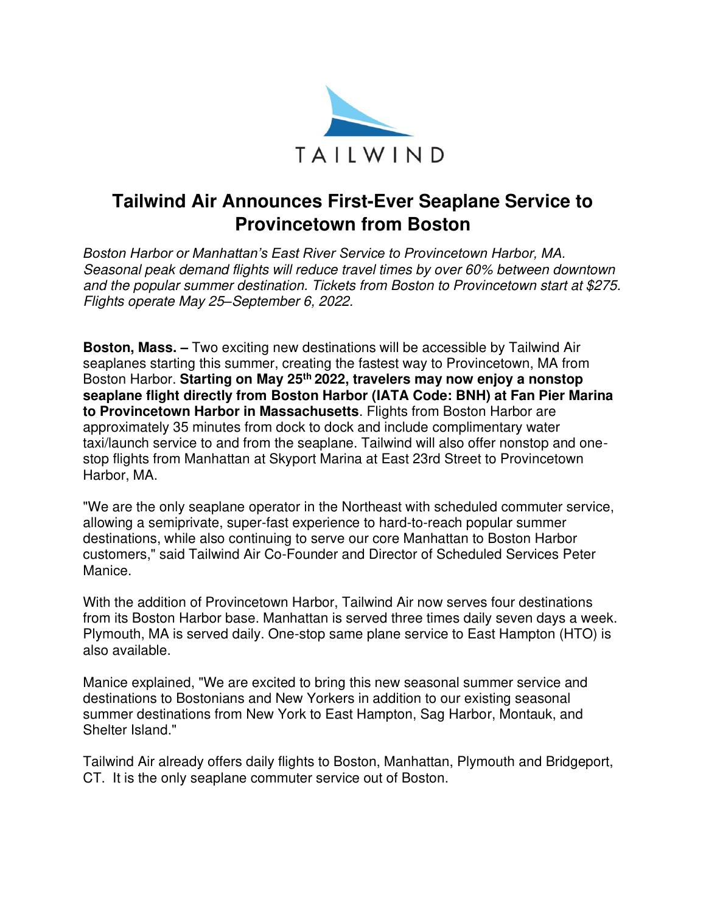

# **Tailwind Air Announces First-Ever Seaplane Service to Provincetown from Boston**

*Boston Harbor or Manhattan's East River Service to Provincetown Harbor, MA.*  Seasonal peak demand flights will reduce travel times by over 60% between downtown and the popular summer destination. Tickets from Boston to Provincetown start at \$275. Flights operate May 25*–*September 6, 2022.

**Boston, Mass. –** Two exciting new destinations will be accessible by Tailwind Air seaplanes starting this summer, creating the fastest way to Provincetown, MA from Boston Harbor. **Starting on May 25th 2022, travelers may now enjoy a nonstop seaplane flight directly from Boston Harbor (IATA Code: BNH) at Fan Pier Marina to Provincetown Harbor in Massachusetts**. Flights from Boston Harbor are approximately 35 minutes from dock to dock and include complimentary water taxi/launch service to and from the seaplane. Tailwind will also offer nonstop and onestop flights from Manhattan at Skyport Marina at East 23rd Street to Provincetown Harbor, MA.

"We are the only seaplane operator in the Northeast with scheduled commuter service, allowing a semiprivate, super-fast experience to hard-to-reach popular summer destinations, while also continuing to serve our core Manhattan to Boston Harbor customers," said Tailwind Air Co-Founder and Director of Scheduled Services Peter Manice.

With the addition of Provincetown Harbor, Tailwind Air now serves four destinations from its Boston Harbor base. Manhattan is served three times daily seven days a week. Plymouth, MA is served daily. One-stop same plane service to East Hampton (HTO) is also available.

Manice explained, "We are excited to bring this new seasonal summer service and destinations to Bostonians and New Yorkers in addition to our existing seasonal summer destinations from New York to East Hampton, Sag Harbor, Montauk, and Shelter Island."

Tailwind Air already offers daily flights to Boston, Manhattan, Plymouth and Bridgeport, CT. It is the only seaplane commuter service out of Boston.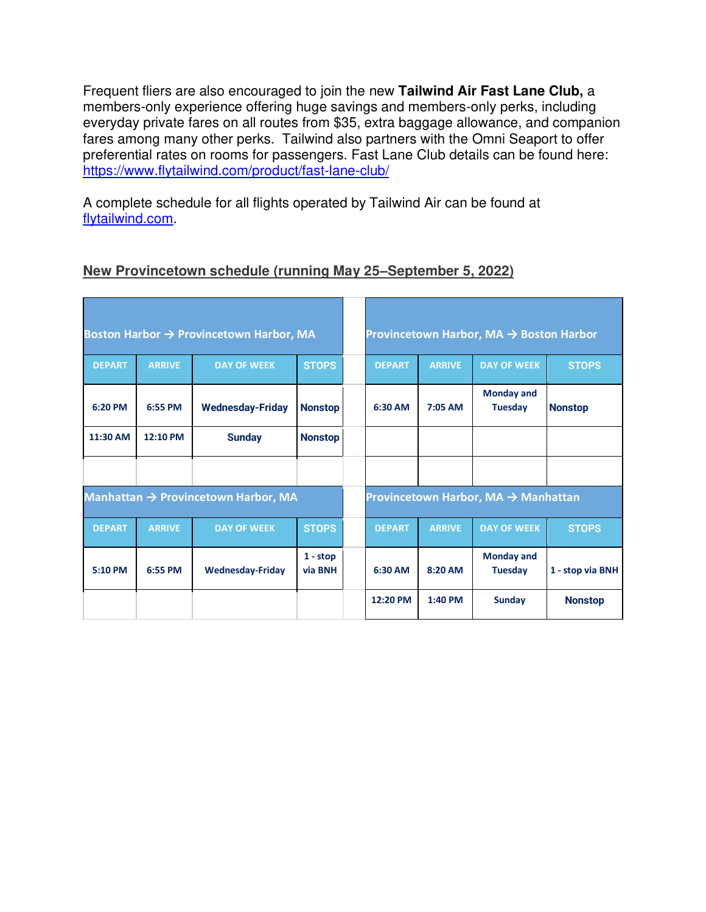Frequent fliers are also encouraged to join the new **Tailwind Air Fast Lane Club,** a members-only experience offering huge savings and members-only perks, including everyday private fares on all routes from \$35, extra baggage allowance, and companion fares among many other perks. Tailwind also partners with the Omni Seaport to offer preferential rates on rooms for passengers. Fast Lane Club details can be found here: <https://www.flytailwind.com/product/fast-lane-club/>

A complete schedule for all flights operated by Tailwind Air can be found at [flytailwind.com.](https://www.flytailwind.com/shuttles/#buy-a-ticket)

### **New Provincetown schedule (running May 25–September 5, 2022)**

| Boston Harbor → Provincetown Harbor, MA |               |                         |                       | Provincetown Harbor, MA $\rightarrow$ Boston Harbor |               |                                     |                  |
|-----------------------------------------|---------------|-------------------------|-----------------------|-----------------------------------------------------|---------------|-------------------------------------|------------------|
| <b>DEPART</b>                           | <b>ARRIVE</b> | <b>DAY OF WEEK</b>      | <b>STOPS</b>          | <b>DEPART</b>                                       | <b>ARRIVE</b> | <b>DAY OF WEEK</b>                  | <b>STOPS</b>     |
| 6:20 PM                                 | 6:55 PM       | <b>Wednesday-Friday</b> | <b>Nonstop</b>        | 6:30 AM                                             | $7:05$ AM     | <b>Monday and</b><br><b>Tuesday</b> | <b>Nonstop</b>   |
| 11:30 AM                                | 12:10 PM      | <b>Sunday</b>           | <b>Nonstop</b>        |                                                     |               |                                     |                  |
|                                         |               |                         |                       |                                                     |               |                                     |                  |
| Manhattan → Provincetown Harbor, MA     |               |                         |                       | Provincetown Harbor, MA $\rightarrow$ Manhattan     |               |                                     |                  |
| <b>DEPART</b>                           | <b>ARRIVE</b> | <b>DAY OF WEEK</b>      | <b>STOPS</b>          | <b>DEPART</b>                                       | <b>ARRIVE</b> | <b>DAY OF WEEK</b>                  | <b>STOPS</b>     |
| 5:10 PM                                 | 6:55 PM       | <b>Wednesday-Friday</b> | $1 - stop$<br>via BNH | 6:30 AM                                             | $8:20$ AM     | <b>Monday and</b><br><b>Tuesday</b> | 1 - stop via BNH |
|                                         |               |                         |                       | 12:20 PM                                            | $1:40$ PM     | <b>Sunday</b>                       | <b>Nonstop</b>   |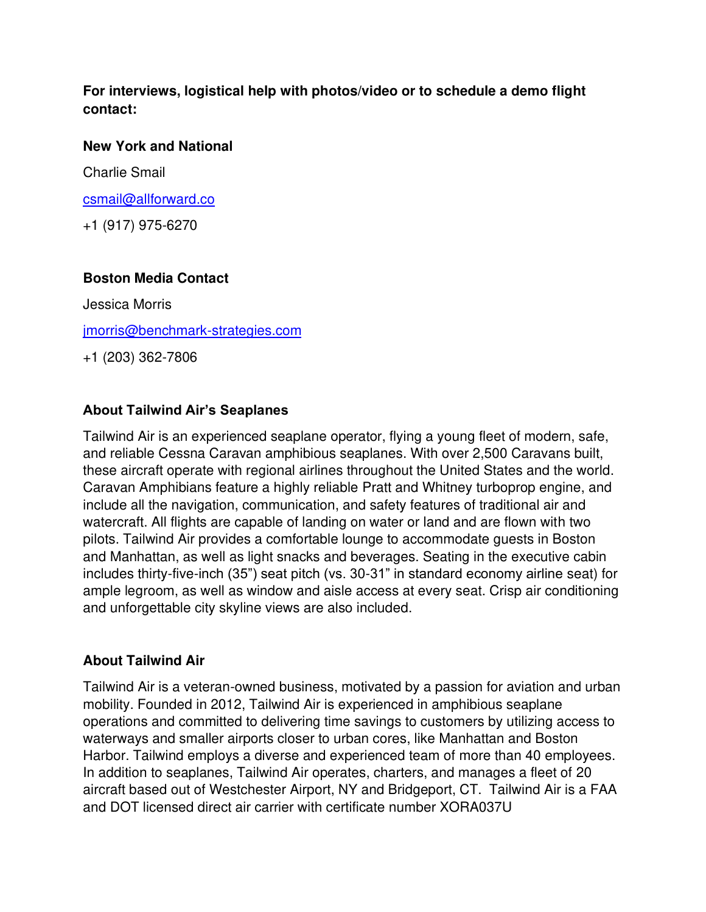## **For interviews, logistical help with photos/video or to schedule a demo flight contact:**

#### **New York and National**

Charlie Smail

[csmail@allforward.co](mailto:csmail@allforward.co) 

+1 (917) 975-6270

# **Boston Media Contact**

Jessica Morris [jmorris@benchmark-strategies.com](mailto:jmorris@benchmark-strategies.com)

+1 (203) 362-7806

# **About Tailwind Air's Seaplanes**

Tailwind Air is an experienced seaplane operator, flying a young fleet of modern, safe, and reliable Cessna Caravan amphibious seaplanes. With over 2,500 Caravans built, these aircraft operate with regional airlines throughout the United States and the world. Caravan Amphibians feature a highly reliable Pratt and Whitney turboprop engine, and include all the navigation, communication, and safety features of traditional air and watercraft. All flights are capable of landing on water or land and are flown with two pilots. Tailwind Air provides a comfortable lounge to accommodate guests in Boston and Manhattan, as well as light snacks and beverages. Seating in the executive cabin includes thirty-five-inch (35") seat pitch (vs. 30-31" in standard economy airline seat) for ample legroom, as well as window and aisle access at every seat. Crisp air conditioning and unforgettable city skyline views are also included.

### **About Tailwind Air**

Tailwind Air is a veteran-owned business, motivated by a passion for aviation and urban mobility. Founded in 2012, Tailwind Air is experienced in amphibious seaplane operations and committed to delivering time savings to customers by utilizing access to waterways and smaller airports closer to urban cores, like Manhattan and Boston Harbor. Tailwind employs a diverse and experienced team of more than 40 employees. In addition to seaplanes, Tailwind Air operates, charters, and manages a fleet of 20 aircraft based out of Westchester Airport, NY and Bridgeport, CT. Tailwind Air is a FAA and DOT licensed direct air carrier with certificate number XORA037U